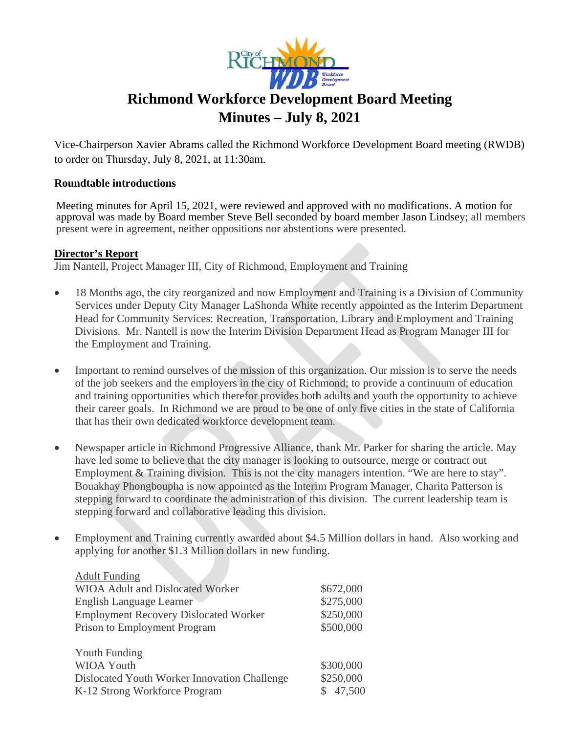

Vice-Chairperson Xavier Abrams called the Richmond Workforce Development Board meeting (RWDB) to order on Thursday, July 8, 2021, at 11:30am.

#### **Roundtable introductions**

Meeting minutes for April 15, 2021, were reviewed and approved with no modifications. A motion for approval was made by Board member Steve Bell seconded by board member Jason Lindsey; all members present were in agreement, neither oppositions nor abstentions were presented.

#### **Director's Report**

Jim Nantell, Project Manager III, City of Richmond, Employment and Training

- 18 Months ago, the city reorganized and now Employment and Training is a Division of Community  $\bullet$ Services under Deputy City Manager LaShonda White recently appointed as the Interim Department Head for Community Services: Recreation, Transportation, Library and Employment and Training Divisions. Mr. Nantell is now the Interim Division Department Head as Program Manager III for the Employment and Training.
- Important to remind ourselves of the mission of this organization. Our mission is to serve the needs  $\bullet$ of the job seekers and the employers in the city of Richmond; to provide a continuum of education and training opportunities which therefor provides both adults and youth the opportunity to achieve their career goals. In Richmond we are proud to be one of only five cities in the state of California that has their own dedicated workforce development team.
- $\bullet$ Newspaper article in Richmond Progressive Alliance, thank Mr. Parker for sharing the article. May have led some to believe that the city manager is looking to outsource, merge or contract out Employment & Training division. This is not the city managers intention. "We are here to stay". Bouakhay Phongboupha is now appointed as the Interim Program Manager, Charita Patterson is stepping forward to coordinate the administration of this division. The current leadership team is stepping forward and collaborative leading this division.
- Employment and Training currently awarded about \$4.5 Million dollars in hand. Also working and  $\bullet$ applying for another \$1.3 Million dollars in new funding.

| <b>Adult Funding</b>                         |           |
|----------------------------------------------|-----------|
| <b>WIOA Adult and Dislocated Worker</b>      | \$672,000 |
| English Language Learner                     | \$275,000 |
| <b>Employment Recovery Dislocated Worker</b> | \$250,000 |
| Prison to Employment Program                 | \$500,000 |
|                                              |           |
| <b>Youth Funding</b>                         |           |
| <b>WIOA Youth</b>                            | \$300,000 |
| Dislocated Youth Worker Innovation Challenge | \$250,000 |
| K-12 Strong Workforce Program                | 47,500    |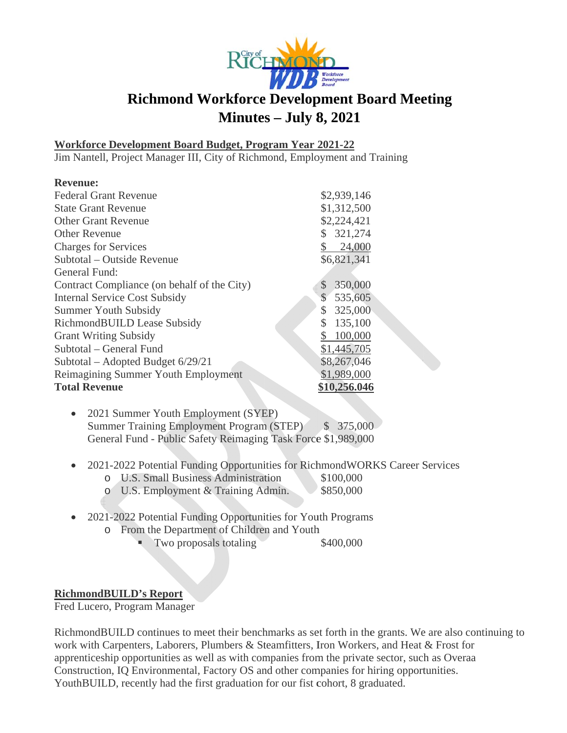

#### **Workforce Development Board Budget, Program Year 2021-22**

Jim Nantell, Project Manager III, City of Richmond, Employment and Training

| <b>Revenue:</b>                             |                                      |
|---------------------------------------------|--------------------------------------|
| <b>Federal Grant Revenue</b>                | \$2,939,146                          |
| <b>State Grant Revenue</b>                  | \$1,312,500                          |
| <b>Other Grant Revenue</b>                  | \$2,224,421                          |
| <b>Other Revenue</b>                        | \$321,274                            |
| <b>Charges for Services</b>                 | 24,000                               |
| Subtotal – Outside Revenue                  | \$6,821,341                          |
| General Fund:                               |                                      |
| Contract Compliance (on behalf of the City) | 350,000<br>$\boldsymbol{\mathsf{S}}$ |
| <b>Internal Service Cost Subsidy</b>        | \$<br>535,605                        |
| <b>Summer Youth Subsidy</b>                 | \$<br>325,000                        |
| RichmondBUILD Lease Subsidy                 | 135,100<br>\$                        |
| <b>Grant Writing Subsidy</b>                | 100,000                              |
| Subtotal – General Fund                     | \$1,445,705                          |
| Subtotal – Adopted Budget $6/29/21$         | \$8,267,046                          |
| Reimagining Summer Youth Employment         | \$1,989,000                          |
| <b>Total Revenue</b>                        | \$10,256.046                         |

- 2021 Summer Youth Employment (SYEP) **Summer Training Employment Program (STEP)**  $$375,000$ General Fund - Public Safety Reimaging Task Force \$1,989,000
- 2021-2022 Potential Funding Opportunities for RichmondWORKS Career Services  $\bullet$

\$100,000

- o U.S. Small Business Administration
- o U.S. Employment & Training Admin. \$850,000
- 2021-2022 Potential Funding Opportunities for Youth Programs  $\bullet$ 
	- o From the Department of Children and Youth
		- Two proposals totaling \$400,000

### **RichmondBUILD's Report**

Fred Lucero, Program Manager

RichmondBUILD continues to meet their benchmarks as set forth in the grants. We are also continuing to work with Carpenters, Laborers, Plumbers & Steamfitters, Iron Workers, and Heat & Frost for apprenticeship opportunities as well as with companies from the private sector, such as Overaa Construction, IQ Environmental, Factory OS and other companies for hiring opportunities. YouthBUILD, recently had the first graduation for our fist cohort, 8 graduated.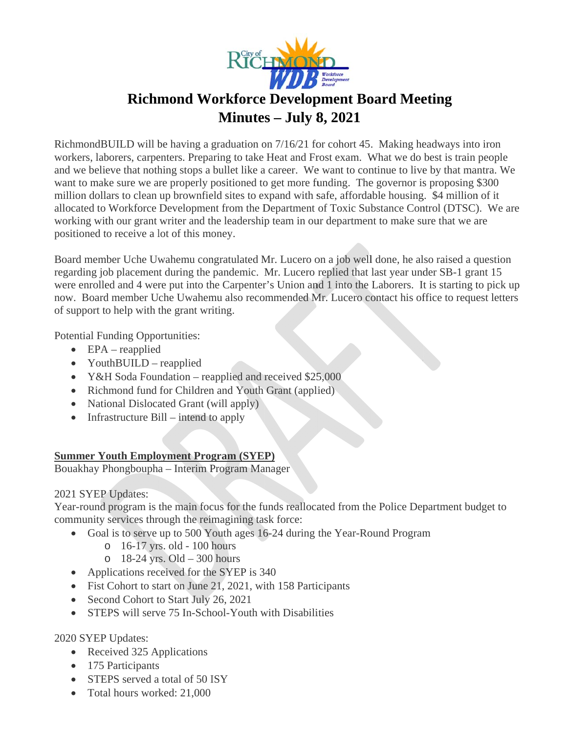

Richmond BUILD will be having a graduation on  $7/16/21$  for cohort 45. Making headways into iron workers, laborers, carpenters. Preparing to take Heat and Frost exam. What we do best is train people and we believe that nothing stops a bullet like a career. We want to continue to live by that mantra. We want to make sure we are properly positioned to get more funding. The governor is proposing \$300 million dollars to clean up brownfield sites to expand with safe, affordable housing. \$4 million of it allocated to Workforce Development from the Department of Toxic Substance Control (DTSC). We are working with our grant writer and the leadership team in our department to make sure that we are positioned to receive a lot of this money.

Board member Uche Uwahemu congratulated Mr. Lucero on a job well done, he also raised a question regarding job placement during the pandemic. Mr. Lucero replied that last year under SB-1 grant 15 were enrolled and 4 were put into the Carpenter's Union and 1 into the Laborers. It is starting to pick up now. Board member Uche Uwahemu also recommended Mr. Lucero contact his office to request letters of support to help with the grant writing.

**Potential Funding Opportunities:** 

- $\bullet$  EPA reapplied
- YouthBUILD reapplied
- Y&H Soda Foundation reapplied and received  $$25,000$
- Richmond fund for Children and Youth Grant (applied)
- National Dislocated Grant (will apply)
- Infrastructure Bill intend to apply

### **Summer Youth Employment Program (SYEP)**

Bouakhay Phongboupha - Interim Program Manager

### 2021 SYEP Updates:

Year-round program is the main focus for the funds reallocated from the Police Department budget to community services through the reimagining task force:

- Goal is to serve up to 500 Youth ages 16-24 during the Year-Round Program
	- $\circ$  16-17 yrs. old 100 hours
	- $\circ$  18-24 yrs. Old 300 hours
- Applications received for the SYEP is 340
- Fist Cohort to start on June 21, 2021, with 158 Participants
- Second Cohort to Start July 26, 2021
- STEPS will serve 75 In-School-Youth with Disabilities

### 2020 SYEP Updates:

- Received 325 Applications
- $\bullet$  175 Participants
- STEPS served a total of 50 ISY
- Total hours worked: 21,000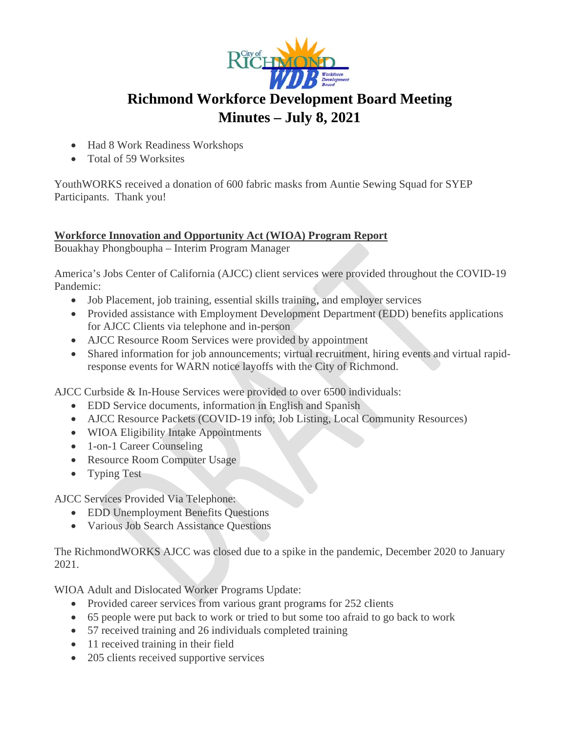

- Had 8 Work Readiness Workshops
- Total of 59 Worksites

YouthWORKS received a donation of 600 fabric masks from Auntie Sewing Squad for SYEP Participants. Thank you!

### **Workforce Innovation and Opportunity Act (WIOA) Program Report**

Bouakhay Phongboupha - Interim Program Manager

America's Jobs Center of California (AJCC) client services were provided throughout the COVID-19 Pandemic:

- Job Placement, job training, essential skills training, and employer services
- Provided assistance with Employment Development Department (EDD) benefits applications for AJCC Clients via telephone and in-person
- AJCC Resource Room Services were provided by appointment
- Shared information for job announcements; virtual recruitment, hiring events and virtual rapidresponse events for WARN notice layoffs with the City of Richmond.

AJCC Curbside & In-House Services were provided to over 6500 individuals:

- EDD Service documents, information in English and Spanish
- AJCC Resource Packets (COVID-19 info; Job Listing, Local Community Resources)
- WIOA Eligibility Intake Appointments
- 1-on-1 Career Counseling
- Resource Room Computer Usage
- Typing Test

**AJCC Services Provided Via Telephone:** 

- EDD Unemployment Benefits Ouestions
- Various Job Search Assistance Ouestions

The RichmondWORKS AJCC was closed due to a spike in the pandemic, December 2020 to January  $2021.$ 

WIOA Adult and Dislocated Worker Programs Update:

- Provided career services from various grant programs for 252 clients
- 65 people were put back to work or tried to but some too afraid to go back to work
- 57 received training and 26 individuals completed training
- $\bullet$  11 received training in their field
- 205 clients received supportive services